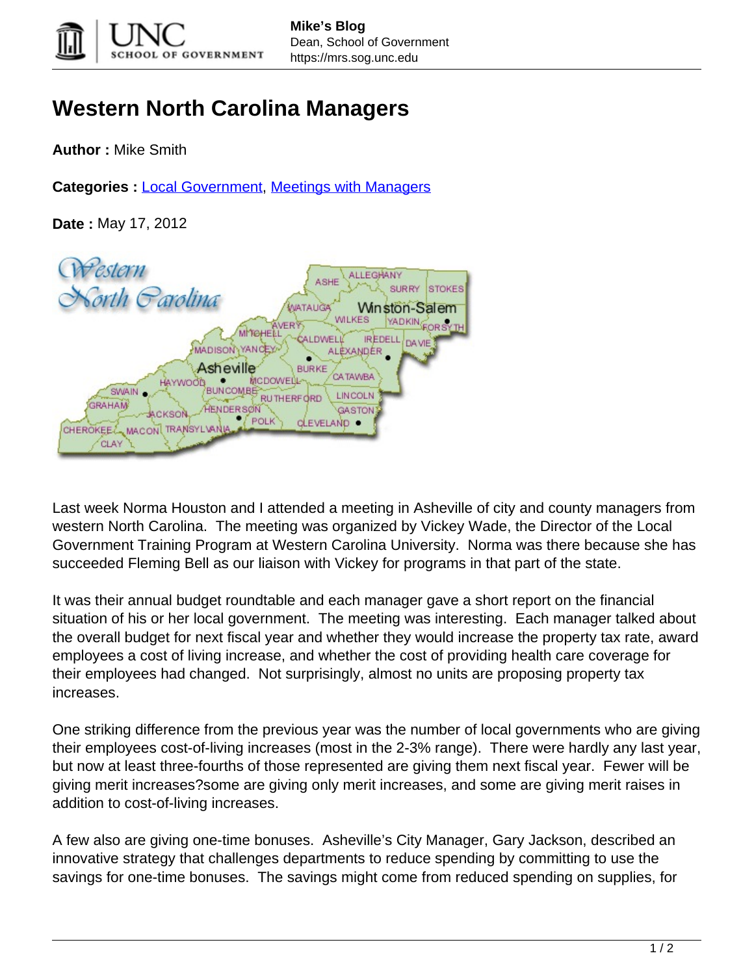

## **Western North Carolina Managers**

**Author :** Mike Smith

**Categories :** [Local Government](https://mrs.sog.unc.edu/category/localgovt/), [Meetings with Managers](https://mrs.sog.unc.edu/category/managers/)

**Date :** May 17, 2012

Pestern **ALLEGHANY** Sorth *Parolina* **STOKES** Winston-Salem YADKIN. ORSYTH **MITGHELI IREDELL MADISON YANO** ALÈXANDER Asheville **BURKE** CA TAWBA MCDOWELL **SWAIN BUNCOMBE LINCOLN** RUTHERFORD **GRAHAM ENDERSØN** GASTON POLK **CLEVELAND CHEROKEE! MACON** CLAY

Last week Norma Houston and I attended a meeting in Asheville of city and county managers from western North Carolina. The meeting was organized by Vickey Wade, the Director of the Local Government Training Program at Western Carolina University. Norma was there because she has succeeded Fleming Bell as our liaison with Vickey for programs in that part of the state.

It was their annual budget roundtable and each manager gave a short report on the financial situation of his or her local government. The meeting was interesting. Each manager talked about the overall budget for next fiscal year and whether they would increase the property tax rate, award employees a cost of living increase, and whether the cost of providing health care coverage for their employees had changed. Not surprisingly, almost no units are proposing property tax increases.

One striking difference from the previous year was the number of local governments who are giving their employees cost-of-living increases (most in the 2-3% range). There were hardly any last year, but now at least three-fourths of those represented are giving them next fiscal year. Fewer will be giving merit increases?some are giving only merit increases, and some are giving merit raises in addition to cost-of-living increases.

A few also are giving one-time bonuses. Asheville's City Manager, Gary Jackson, described an innovative strategy that challenges departments to reduce spending by committing to use the savings for one-time bonuses. The savings might come from reduced spending on supplies, for